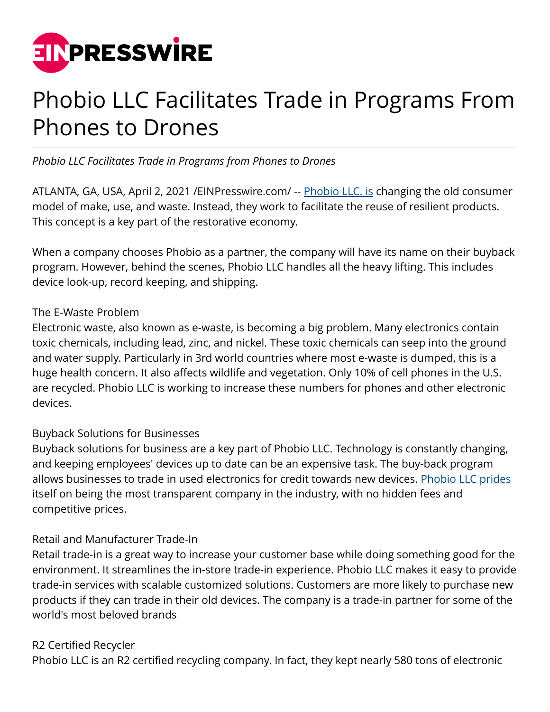

# Phobio LLC Facilitates Trade in Programs From Phones to Drones

*Phobio LLC Facilitates Trade in Programs from Phones to Drones*

ATLANTA, GA, USA, April 2, 2021 / [EINPresswire.com/](http://www.einpresswire.com) -- [Phobio LLC. is](https://www.accesswire.com/636612/Phobio-LLC-Credit-Given-Where-Its-Due) changing the old consumer model of make, use, and waste. Instead, they work to facilitate the reuse of resilient products. This concept is a key part of the restorative economy.

When a company chooses Phobio as a partner, the company will have its name on their buyback program. However, behind the scenes, Phobio LLC handles all the heavy lifting. This includes device look-up, record keeping, and shipping.

#### The E-Waste Problem

Electronic waste, also known as e-waste, is becoming a big problem. Many electronics contain toxic chemicals, including lead, zinc, and nickel. These toxic chemicals can seep into the ground and water supply. Particularly in 3rd world countries where most e-waste is dumped, this is a huge health concern. It also affects wildlife and vegetation. Only 10% of cell phones in the U.S. are recycled. Phobio LLC is working to increase these numbers for phones and other electronic devices.

### Buyback Solutions for Businesses

Buyback solutions for business are a key part of Phobio LLC. Technology is constantly changing, and keeping employees' devices up to date can be an expensive task. The buy-back program allows businesses to trade in used electronics for credit towards new devices. [Phobio LLC prides](https://finance.yahoo.com/news/phobio-llc-credit-given-where-225000483.html) itself on being the most transparent company in the industry, with no hidden fees and competitive prices.

### Retail and Manufacturer Trade-In

Retail trade-in is a great way to increase your customer base while doing something good for the environment. It streamlines the in-store trade-in experience. Phobio LLC makes it easy to provide trade-in services with scalable customized solutions. Customers are more likely to purchase new products if they can trade in their old devices. The company is a trade-in partner for some of the world's most beloved brands

### R2 Certified Recycler

Phobio LLC is an R2 certified recycling company. In fact, they kept nearly 580 tons of electronic